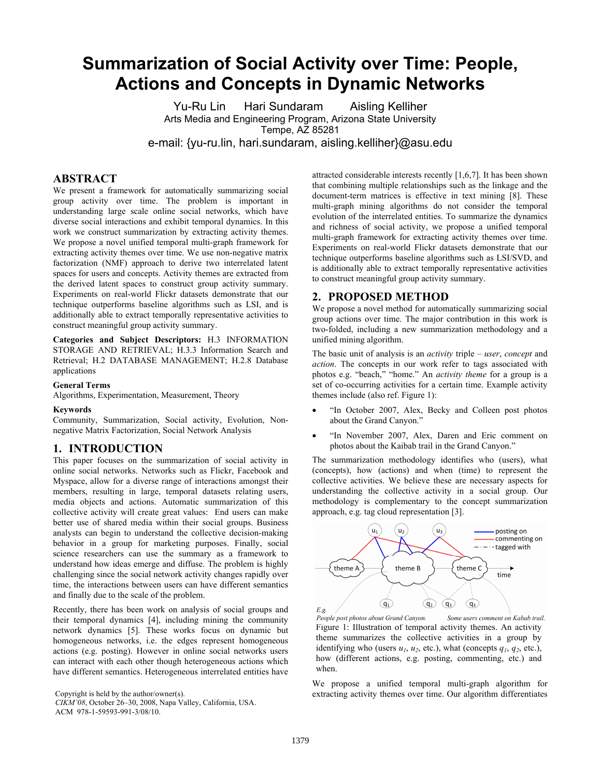# **Summarization of Social Activity over Time: People, Actions and Concepts in Dynamic Networks**

Yu-Ru Lin Hari Sundaram Aisling Kelliher Arts Media and Engineering Program, Arizona State University Tempe, AZ 85281 e-mail: {yu-ru.lin, hari.sundaram, aisling.kelliher}@asu.edu

## **ABSTRACT**

We present a framework for automatically summarizing social group activity over time. The problem is important in understanding large scale online social networks, which have diverse social interactions and exhibit temporal dynamics. In this work we construct summarization by extracting activity themes. We propose a novel unified temporal multi-graph framework for extracting activity themes over time. We use non-negative matrix factorization (NMF) approach to derive two interrelated latent spaces for users and concepts. Activity themes are extracted from the derived latent spaces to construct group activity summary. Experiments on real-world Flickr datasets demonstrate that our technique outperforms baseline algorithms such as LSI, and is additionally able to extract temporally representative activities to construct meaningful group activity summary.

**Categories and Subject Descriptors:** H.3 INFORMATION STORAGE AND RETRIEVAL; H.3.3 Information Search and Retrieval; H.2 DATABASE MANAGEMENT; H.2.8 Database applications

#### **General Terms**

Algorithms, Experimentation, Measurement, Theory

### **Keywords**

Community, Summarization, Social activity, Evolution, Nonnegative Matrix Factorization, Social Network Analysis

#### **1. INTRODUCTION**

This paper focuses on the summarization of social activity in online social networks. Networks such as Flickr, Facebook and Myspace, allow for a diverse range of interactions amongst their members, resulting in large, temporal datasets relating users, media objects and actions. Automatic summarization of this collective activity will create great values: End users can make better use of shared media within their social groups. Business analysts can begin to understand the collective decision-making behavior in a group for marketing purposes. Finally, social science researchers can use the summary as a framework to understand how ideas emerge and diffuse. The problem is highly challenging since the social network activity changes rapidly over time, the interactions between users can have different semantics and finally due to the scale of the problem.

Recently, there has been work on analysis of social groups and their temporal dynamics [4], including mining the community network dynamics [5]. These works focus on dynamic but homogeneous networks, i.e. the edges represent homogeneous actions (e.g. posting). However in online social networks users can interact with each other though heterogeneous actions which have different semantics. Heterogeneous interrelated entities have

Copyright is held by the author/owner(s).

ACM 978-1-59593-991-3/08/10.

attracted considerable interests recently [1,6,7]. It has been shown that combining multiple relationships such as the linkage and the document-term matrices is effective in text mining [8]. These multi-graph mining algorithms do not consider the temporal evolution of the interrelated entities. To summarize the dynamics and richness of social activity, we propose a unified temporal multi-graph framework for extracting activity themes over time. Experiments on real-world Flickr datasets demonstrate that our technique outperforms baseline algorithms such as LSI/SVD, and is additionally able to extract temporally representative activities to construct meaningful group activity summary.

## **2. PROPOSED METHOD**

We propose a novel method for automatically summarizing social group actions over time. The major contribution in this work is two-folded, including a new summarization methodology and a unified mining algorithm.

The basic unit of analysis is an *activity* triple – *user*, *concept* and *action*. The concepts in our work refer to tags associated with photos e.g. "beach," "home." An *activity theme* for a group is a set of co-occurring activities for a certain time. Example activity themes include (also ref. Figure 1):

- "In October 2007, Alex, Becky and Colleen post photos about the Grand Canyon."
- "In November 2007, Alex, Daren and Eric comment on photos about the Kaibab trail in the Grand Canyon."

The summarization methodology identifies who (users), what (concepts), how (actions) and when (time) to represent the collective activities. We believe these are necessary aspects for understanding the collective activity in a social group. Our methodology is complementary to the concept summarization approach, e.g. tag cloud representation [3].



People post photos about Grand Canyon. Some users comment on Kabab trail. Figure 1: Illustration of temporal activity themes. An activity theme summarizes the collective activities in a group by identifying who (users  $u_1$ ,  $u_2$ , etc.), what (concepts  $q_1$ ,  $q_2$ , etc.), how (different actions, e.g. posting, commenting, etc.) and when.

We propose a unified temporal multi-graph algorithm for extracting activity themes over time. Our algorithm differentiates

*CIKM'08*, October 26–30, 2008, Napa Valley, California, USA.